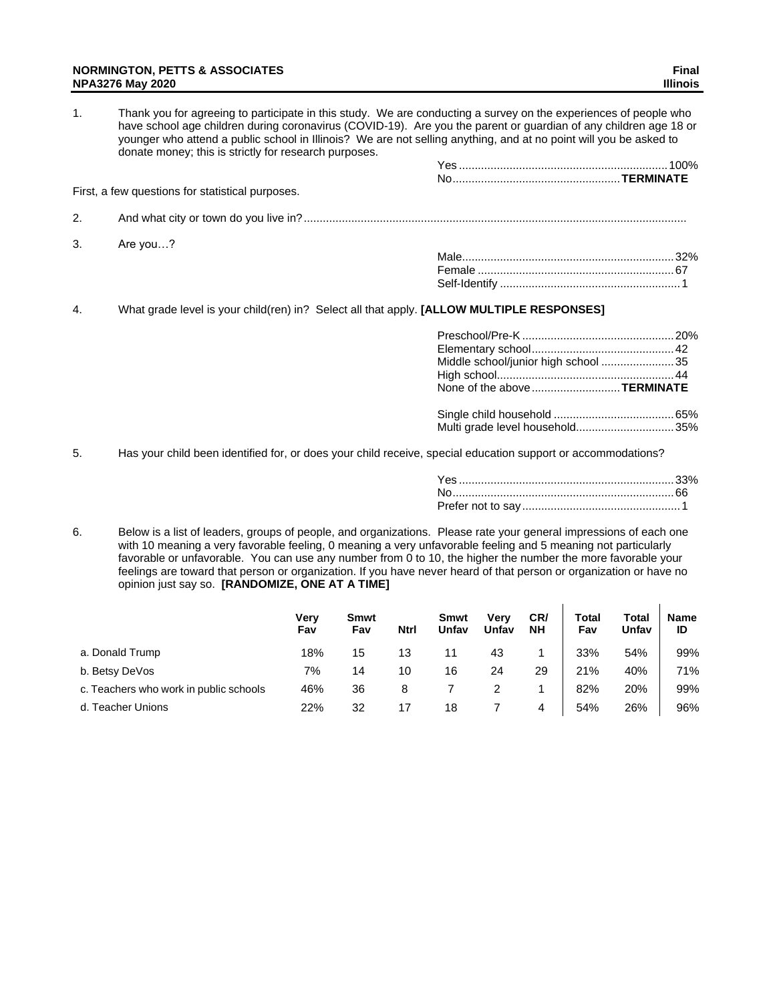### **NORMINGTON, PETTS & ASSOCIATES Final NPA3276 May 2020 Illinois**

| $\mathbf{1}$ . | Thank you for agreeing to participate in this study. We are conducting a survey on the experiences of people who<br>have school age children during coronavirus (COVID-19). Are you the parent or guardian of any children age 18 or<br>younger who attend a public school in Illinois? We are not selling anything, and at no point will you be asked to<br>donate money; this is strictly for research purposes. |  |
|----------------|--------------------------------------------------------------------------------------------------------------------------------------------------------------------------------------------------------------------------------------------------------------------------------------------------------------------------------------------------------------------------------------------------------------------|--|
|                |                                                                                                                                                                                                                                                                                                                                                                                                                    |  |
|                |                                                                                                                                                                                                                                                                                                                                                                                                                    |  |
|                | First, a few questions for statistical purposes.                                                                                                                                                                                                                                                                                                                                                                   |  |
| 2.             |                                                                                                                                                                                                                                                                                                                                                                                                                    |  |
| 3.             | Are you?                                                                                                                                                                                                                                                                                                                                                                                                           |  |
|                |                                                                                                                                                                                                                                                                                                                                                                                                                    |  |
|                |                                                                                                                                                                                                                                                                                                                                                                                                                    |  |
|                |                                                                                                                                                                                                                                                                                                                                                                                                                    |  |
| 4.             | What grade level is your child(ren) in? Select all that apply. [ALLOW MULTIPLE RESPONSES]                                                                                                                                                                                                                                                                                                                          |  |

| Middle school/junior high school 35<br>None of the aboveTERMINATE |  |
|-------------------------------------------------------------------|--|
| Multi grade level household35%                                    |  |

5. Has your child been identified for, or does your child receive, special education support or accommodations?

 $\mathbf{r}$ 

 $\mathcal{L}^{\mathcal{L}}$ 

6. Below is a list of leaders, groups of people, and organizations. Please rate your general impressions of each one with 10 meaning a very favorable feeling, 0 meaning a very unfavorable feeling and 5 meaning not particularly favorable or unfavorable. You can use any number from 0 to 10, the higher the number the more favorable your feelings are toward that person or organization. If you have never heard of that person or organization or have no opinion just say so. **[RANDOMIZE, ONE AT A TIME]**

|                                        | Verv<br>Fav | Smwt<br>Fav | <b>Ntrl</b> | <b>Smwt</b><br>Unfav | Verv<br>Unfav | CR/<br><b>NH</b> | Total<br>Fav | Total<br>Unfav | <b>Name</b><br>ID |
|----------------------------------------|-------------|-------------|-------------|----------------------|---------------|------------------|--------------|----------------|-------------------|
| a. Donald Trump                        | 18%         | 15          | 13          | 11                   | 43            |                  | 33%          | 54%            | 99%               |
| b. Betsy DeVos                         | 7%          | 14          | 10          | 16                   | 24            | 29               | 21%          | 40%            | 71%               |
| c. Teachers who work in public schools | 46%         | 36          | 8           |                      |               |                  | 82%          | 20%            | 99%               |
| d. Teacher Unions                      | 22%         | 32          |             | 18                   |               | 4                | 54%          | 26%            | 96%               |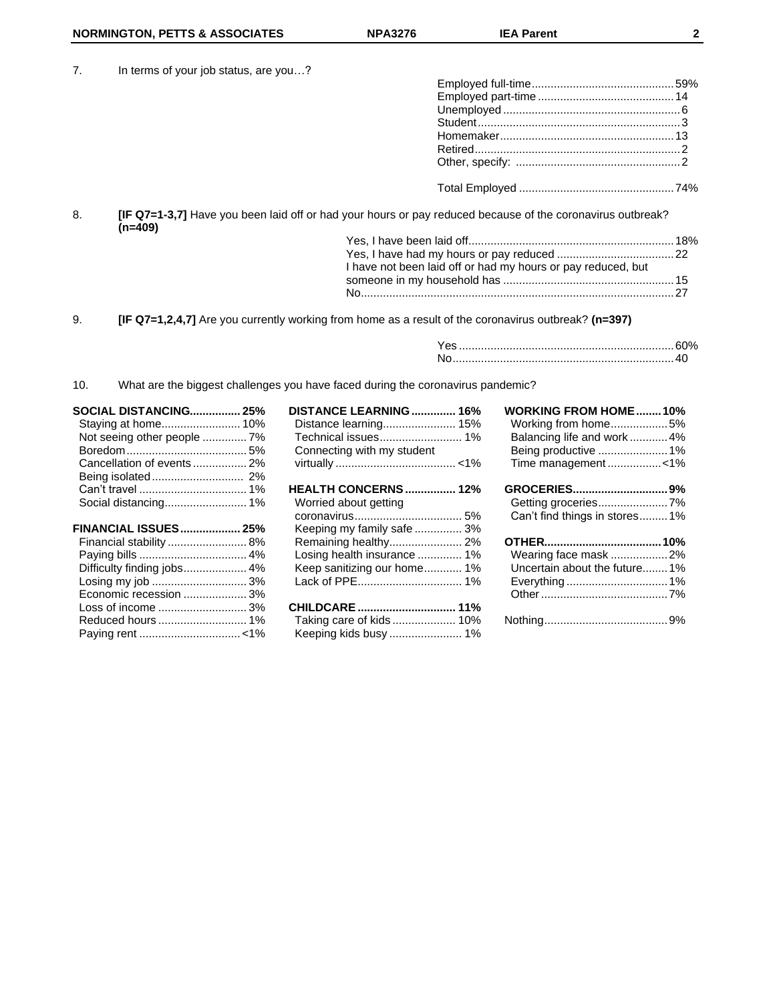7. In terms of your job status, are you…?

|    | $\mu$ . In terms or your job status, are you?                                                                         |  |
|----|-----------------------------------------------------------------------------------------------------------------------|--|
|    |                                                                                                                       |  |
|    |                                                                                                                       |  |
|    |                                                                                                                       |  |
|    |                                                                                                                       |  |
|    |                                                                                                                       |  |
|    |                                                                                                                       |  |
|    |                                                                                                                       |  |
|    |                                                                                                                       |  |
| 8. | [IF Q7=1-3,7] Have you been laid off or had your hours or pay reduced because of the coronavirus outbreak?<br>(n=409) |  |
|    |                                                                                                                       |  |
|    |                                                                                                                       |  |

| I have not been laid off or had my hours or pay reduced, but |  |
|--------------------------------------------------------------|--|
|                                                              |  |
|                                                              |  |
|                                                              |  |

9. **[IF Q7=1,2,4,7]** Are you currently working from home as a result of the coronavirus outbreak? **(n=397)**

10. What are the biggest challenges you have faced during the coronavirus pandemic?

| <b>SOCIAL DISTANCING 25%</b><br>Not seeing other people  7%<br>Cancellation of events  2% | DISTANCE LEARNING  16%<br>Distance learning 15%<br>Technical issues 1%<br>Connecting with my student | <b>WORKING FROM HOME10%</b><br>Working from home5%<br>Balancing life and work  4%<br>Being productive  1%<br>Time management<1% |
|-------------------------------------------------------------------------------------------|------------------------------------------------------------------------------------------------------|---------------------------------------------------------------------------------------------------------------------------------|
|                                                                                           | <b>HEALTH CONCERNS 12%</b>                                                                           |                                                                                                                                 |
|                                                                                           | Worried about getting                                                                                | Getting groceries7%                                                                                                             |
|                                                                                           |                                                                                                      | Can't find things in stores1%                                                                                                   |
| <b>FINANCIAL ISSUES 25%</b>                                                               | Keeping my family safe  3%                                                                           |                                                                                                                                 |
|                                                                                           |                                                                                                      |                                                                                                                                 |
|                                                                                           | Losing health insurance  1%                                                                          | Wearing face mask 2%                                                                                                            |
| Difficulty finding jobs 4%                                                                | Keep sanitizing our home 1%                                                                          | Uncertain about the future1%                                                                                                    |
| Losing my job  3%                                                                         |                                                                                                      |                                                                                                                                 |
| Economic recession 3%                                                                     |                                                                                                      |                                                                                                                                 |
|                                                                                           | Taking care of kids  10%                                                                             |                                                                                                                                 |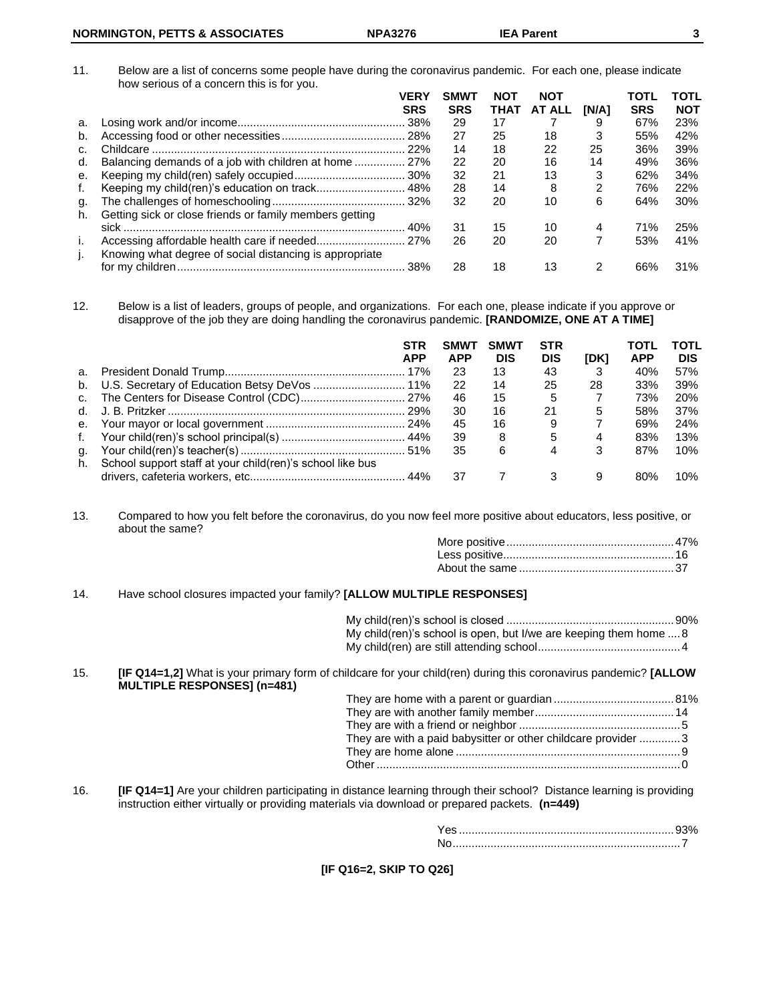11. Below are a list of concerns some people have during the coronavirus pandemic. For each one, please indicate how serious of a concern this is for you.

|          | <b>VERY</b>                                             | <b>SMWT</b> | <b>NOT</b> | <b>NOT</b> |       | TOTL       | <b>TOTL</b> |
|----------|---------------------------------------------------------|-------------|------------|------------|-------|------------|-------------|
|          | <b>SRS</b>                                              | <b>SRS</b>  | THAT       | AT ALL     | [N/A] | <b>SRS</b> | <b>NOT</b>  |
| a.       |                                                         | 29          | 17         |            | 9     | 67%        | 23%         |
| b.       |                                                         | 27          | 25         | 18         | 3     | 55%        | 42%         |
| C.       |                                                         | 14          | 18         | 22         | 25    | 36%        | 39%         |
| d.       | Balancing demands of a job with children at home  27%   | 22          | 20         | 16         | 14    | 49%        | 36%         |
| е.       |                                                         | 32          | 21         | 13         | 3     | 62%        | 34%         |
| f.       |                                                         | 28          | 14         | 8          | 2     | 76%        | 22%         |
| g.<br>h. | Getting sick or close friends or family members getting | 32          | 20         | 10         | 6     | 64%        | 30%         |
|          |                                                         | 31          | 15         | 10         | 4     | 71%        | 25%         |
| j.<br>j. | Knowing what degree of social distancing is appropriate | 26          | 20         | 20         |       | 53%        | 41%         |
|          |                                                         | 28          | 18         | 13         | 2     | 66%        | 31%         |

12. Below is a list of leaders, groups of people, and organizations. For each one, please indicate if you approve or disapprove of the job they are doing handling the coronavirus pandemic. **[RANDOMIZE, ONE AT A TIME]**

|                |                                                           | <b>STR</b><br><b>APP</b> | SMWT<br><b>APP</b> | <b>SMWT</b><br><b>DIS</b> | <b>STR</b><br><b>DIS</b> | [DK] | TOTL<br><b>APP</b> | ΤΟΤL<br><b>DIS</b> |
|----------------|-----------------------------------------------------------|--------------------------|--------------------|---------------------------|--------------------------|------|--------------------|--------------------|
| а.             |                                                           |                          | 23                 | 13                        | 43                       | 3    | 40%                | 57%                |
|                | b. U.S. Secretary of Education Betsy DeVos  11%           |                          | -22                | 14                        | 25                       | 28   | 33%                | 39%                |
| C <sub>1</sub> |                                                           |                          | 46                 | 15                        | 5                        |      | 73%                | <b>20%</b>         |
| d.             |                                                           |                          | 30                 | 16                        | 21                       | 5    | 58%                | 37%                |
|                |                                                           |                          | 45                 | 16                        | 9                        |      | 69%                | <b>24%</b>         |
| f.             |                                                           |                          | -39                | 8                         | 5                        | 4    | 83%                | 13%                |
| g.             |                                                           |                          | 35                 | 6                         | 4                        | 3    | 87%                | 10%                |
| h.             | School support staff at your child(ren)'s school like bus |                          |                    |                           |                          |      |                    |                    |
|                |                                                           |                          | 37                 | $\overline{7}$            | 3                        | 9    | 80%                | 10%                |

13. Compared to how you felt before the coronavirus, do you now feel more positive about educators, less positive, or about the same?

#### 14. Have school closures impacted your family? **[ALLOW MULTIPLE RESPONSES]**

My child(ren)'s school is closed .....................................................90% My child(ren)'s school is open, but I/we are keeping them home ....8 My child(ren) are still attending school.............................................4

15. **[IF Q14=1,2]** What is your primary form of childcare for your child(ren) during this coronavirus pandemic? **[ALLOW MULTIPLE RESPONSES] (n=481)**

| They are with a paid babysitter or other childcare provider 3 |  |
|---------------------------------------------------------------|--|
|                                                               |  |
|                                                               |  |

16. **[IF Q14=1]** Are your children participating in distance learning through their school? Distance learning is providing instruction either virtually or providing materials via download or prepared packets. **(n=449)**

**[IF Q16=2, SKIP TO Q26]**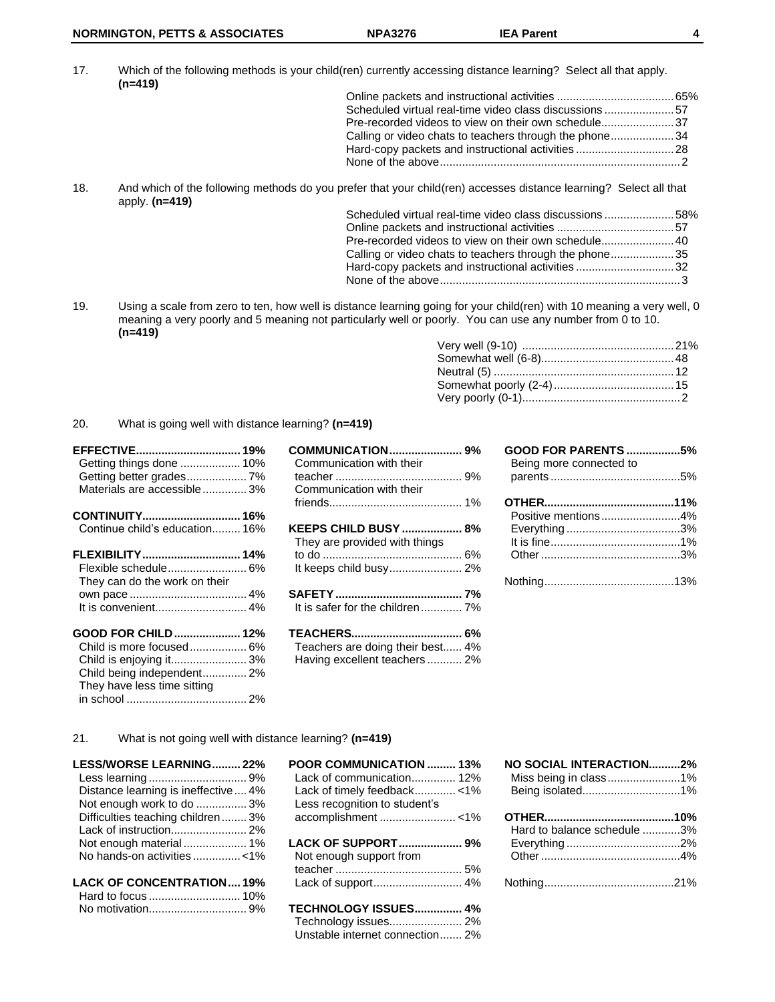17. Which of the following methods is your child(ren) currently accessing distance learning? Select all that apply. **(n=419)**

| Scheduled virtual real-time video class discussions 57 |  |
|--------------------------------------------------------|--|
| Pre-recorded videos to view on their own schedule37    |  |
| Calling or video chats to teachers through the phone34 |  |
| Hard-copy packets and instructional activities  28     |  |
|                                                        |  |
|                                                        |  |

18. And which of the following methods do you prefer that your child(ren) accesses distance learning? Select all that apply. **(n=419)**

| Scheduled virtual real-time video class discussions58% |  |
|--------------------------------------------------------|--|
|                                                        |  |
|                                                        |  |
| Calling or video chats to teachers through the phone35 |  |
| Hard-copy packets and instructional activities 32      |  |
|                                                        |  |
|                                                        |  |

19. Using a scale from zero to ten, how well is distance learning going for your child(ren) with 10 meaning a very well, 0 meaning a very poorly and 5 meaning not particularly well or poorly. You can use any number from 0 to 10. **(n=419)**

## 20. What is going well with distance learning? **(n=419)**

| Getting things done  10%       |  |
|--------------------------------|--|
| Getting better grades 7%       |  |
| Materials are accessible 3%    |  |
| CONTINUITY 16%                 |  |
| Continue child's education 16% |  |
| FLEXIBILITY 14%                |  |
| Flexible schedule 6%           |  |
| They can do the work on their  |  |
|                                |  |
| It is convenient 4%            |  |
| GOOD FOR CHILD 12%             |  |
| Child is more focused 6%       |  |
| Child is enjoying it3%         |  |
| Child being independent 2%     |  |
| They have less time sitting    |  |

| <b>COMMUNICATION 9%</b><br>Communication with their<br>Communication with their        |  |
|----------------------------------------------------------------------------------------|--|
| <b>KEEPS CHILD BUSY  8%</b><br>They are provided with things<br>It keeps child busy 2% |  |
| It is safer for the children 7%                                                        |  |
| Teachers are doing their best 4%<br>Having excellent teachers 2%                       |  |

| <b>GOOD FOR PARENTS 5%</b><br>Being more connected to |  |
|-------------------------------------------------------|--|
|                                                       |  |
|                                                       |  |
| Positive mentions4%                                   |  |
|                                                       |  |
|                                                       |  |
|                                                       |  |
|                                                       |  |

### 21. What is not going well with distance learning? **(n=419)**

| <b>LESS/WORSE LEARNING 22%</b>      |  |
|-------------------------------------|--|
|                                     |  |
| Distance learning is ineffective 4% |  |
| Not enough work to do  3%           |  |
| Difficulties teaching children 3%   |  |
|                                     |  |
| Not enough material  1%             |  |
| No hands-on activities <1%          |  |
|                                     |  |
| <b>LACK OF CONCENTRATION 19%</b>    |  |

in school ...................................... 2%

| <b>POOR COMMUNICATION  13%</b><br>Lack of communication 12%<br>Lack of timely feedback<1%<br>Less recognition to student's<br>accomplishment <1% |  |
|--------------------------------------------------------------------------------------------------------------------------------------------------|--|
| LACK OF SUPPORT 9%<br>Not enough support from                                                                                                    |  |
| TECHNOLOGY ISSUES 4%<br>Technology issues 2%<br>Unstable internet connection 2%                                                                  |  |

| NO SOCIAL INTERACTION2%     |  |
|-----------------------------|--|
| Miss being in class1%       |  |
| Being isolated1%            |  |
|                             |  |
| Hard to balance schedule 3% |  |
|                             |  |
|                             |  |
|                             |  |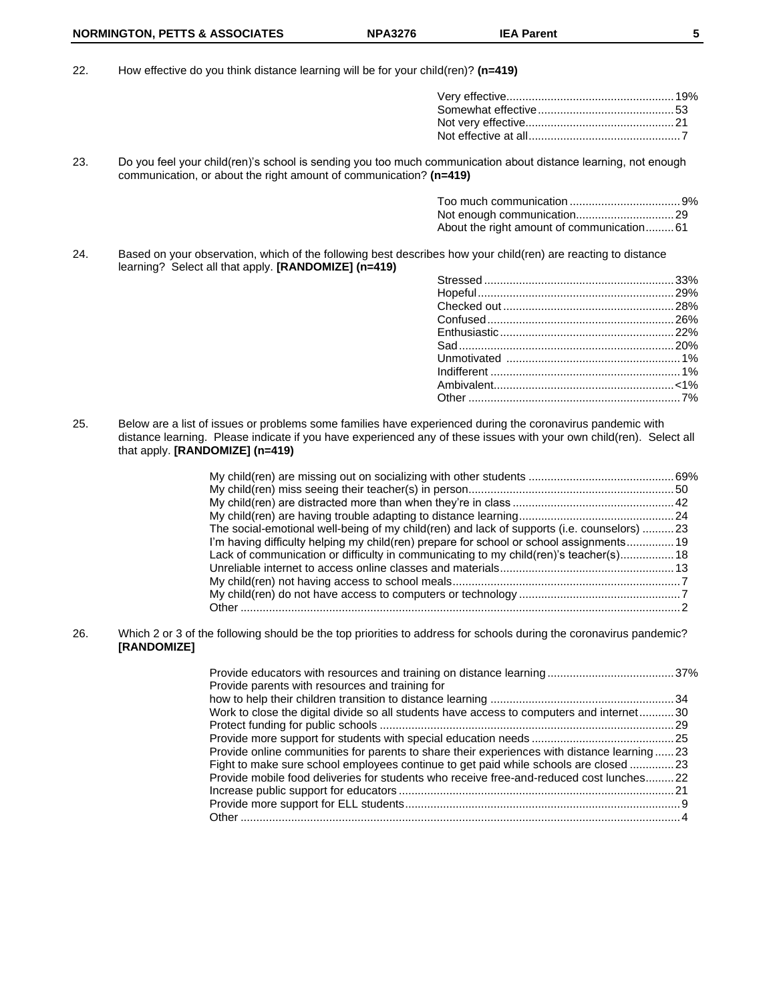22. How effective do you think distance learning will be for your child(ren)? **(n=419)**

23. Do you feel your child(ren)'s school is sending you too much communication about distance learning, not enough communication, or about the right amount of communication? **(n=419)**

| About the right amount of communication61 |  |
|-------------------------------------------|--|

24. Based on your observation, which of the following best describes how your child(ren) are reacting to distance learning? Select all that apply. **[RANDOMIZE] (n=419)**

25. Below are a list of issues or problems some families have experienced during the coronavirus pandemic with distance learning. Please indicate if you have experienced any of these issues with your own child(ren). Select all that apply. **[RANDOMIZE] (n=419)**

| The social-emotional well-being of my child(ren) and lack of supports (i.e. counselors) 23 |  |
|--------------------------------------------------------------------------------------------|--|
| I'm having difficulty helping my child(ren) prepare for school or school assignments 19    |  |
| Lack of communication or difficulty in communicating to my child(ren)'s teacher(s) 18      |  |
|                                                                                            |  |
|                                                                                            |  |
|                                                                                            |  |
|                                                                                            |  |
|                                                                                            |  |

26. Which 2 or 3 of the following should be the top priorities to address for schools during the coronavirus pandemic? **[RANDOMIZE]**

| Provide parents with resources and training for                                            |  |
|--------------------------------------------------------------------------------------------|--|
|                                                                                            |  |
| Work to close the digital divide so all students have access to computers and internet30   |  |
|                                                                                            |  |
|                                                                                            |  |
| Provide online communities for parents to share their experiences with distance learning23 |  |
| Fight to make sure school employees continue to get paid while schools are closed 23       |  |
| Provide mobile food deliveries for students who receive free-and-reduced cost lunches22    |  |
|                                                                                            |  |
|                                                                                            |  |
|                                                                                            |  |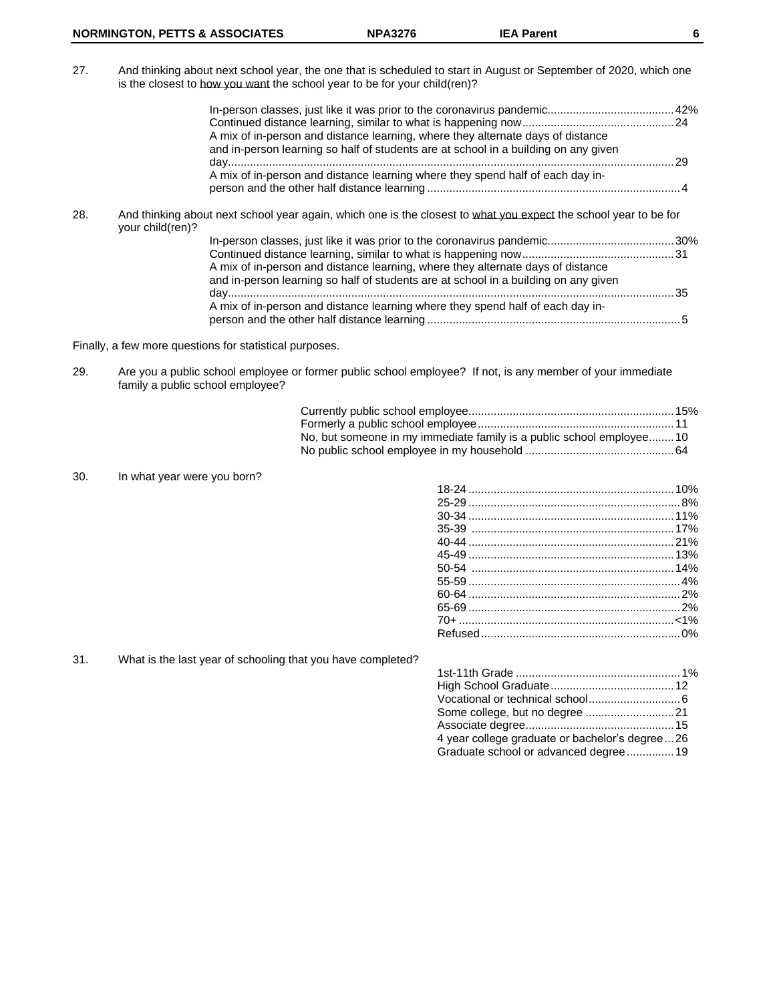27. And thinking about next school year, the one that is scheduled to start in August or September of 2020, which one is the closest to how you want the school year to be for your child(ren)?

|     | A mix of in-person and distance learning, where they alternate days of distance<br>and in-person learning so half of students are at school in a building on any given | 29 |
|-----|------------------------------------------------------------------------------------------------------------------------------------------------------------------------|----|
|     | A mix of in-person and distance learning where they spend half of each day in-                                                                                         |    |
| 28. | And thinking about next school year again, which one is the closest to what you expect the school year to be for                                                       |    |

| your child(ren)? |                                                                                                                                                                        |      |
|------------------|------------------------------------------------------------------------------------------------------------------------------------------------------------------------|------|
|                  |                                                                                                                                                                        |      |
|                  |                                                                                                                                                                        |      |
|                  | A mix of in-person and distance learning, where they alternate days of distance<br>and in-person learning so half of students are at school in a building on any given |      |
|                  |                                                                                                                                                                        | . 35 |
|                  | A mix of in-person and distance learning where they spend half of each day in-                                                                                         |      |

Finally, a few more questions for statistical purposes.

29. Are you a public school employee or former public school employee? If not, is any member of your immediate family a public school employee?

| No, but someone in my immediate family is a public school employee 10 |  |
|-----------------------------------------------------------------------|--|
|                                                                       |  |

30. In what year were you born?

| 45-49 [13%] |  |
|-------------|--|
|             |  |
|             |  |
|             |  |
|             |  |
|             |  |
|             |  |

31. What is the last year of schooling that you have completed?

| 4 year college graduate or bachelor's degree26 |  |
|------------------------------------------------|--|
| Graduate school or advanced degree 19          |  |